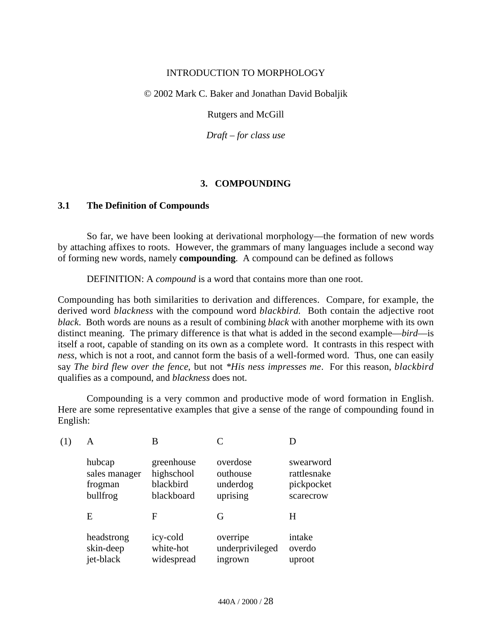#### INTRODUCTION TO MORPHOLOGY

© 2002 Mark C. Baker and Jonathan David Bobaljik

Rutgers and McGill

*Draft* – *for class use*

# **3. COMPOUNDING**

#### **3.1 The Definition of Compounds**

So far, we have been looking at derivational morphology—the formation of new words by attaching affixes to roots. However, the grammars of many languages include a second way of forming new words, namely **compounding**. A compound can be defined as follows

DEFINITION: A *compound* is a word that contains more than one root.

Compounding has both similarities to derivation and differences. Compare, for example, the derived word *blackness* with the compound word *blackbird*. Both contain the adjective root *black*. Both words are nouns as a result of combining *black* with another morpheme with its own distinct meaning. The primary difference is that what is added in the second example—*bird*—is itself a root, capable of standing on its own as a complete word. It contrasts in this respect with *ness*, which is not a root, and cannot form the basis of a well-formed word. Thus, one can easily say *The bird flew over the fence*, but not *\*His ness impresses me*. For this reason, *blackbird* qualifies as a compound, and *blackness* does not.

Compounding is a very common and productive mode of word formation in English. Here are some representative examples that give a sense of the range of compounding found in English:

| А             | В          |                 |             |
|---------------|------------|-----------------|-------------|
| hubcap        | greenhouse | overdose        | swearword   |
| sales manager | highschool | outhouse        | rattlesnake |
| frogman       | blackbird  | underdog        | pickpocket  |
| bullfrog      | blackboard | uprising        | scarecrow   |
| E             | F          | G               | H           |
| headstrong    | icy-cold   | overripe        | intake      |
| skin-deep     | white-hot  | underprivileged | overdo      |
| jet-black     | widespread | ingrown         | uproot      |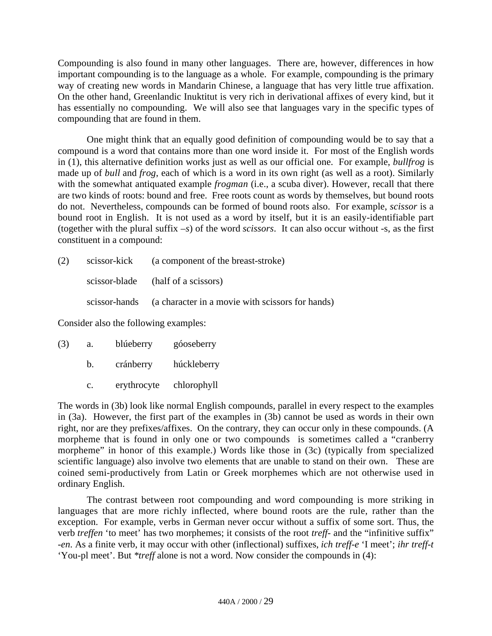Compounding is also found in many other languages. There are, however, differences in how important compounding is to the language as a whole. For example, compounding is the primary way of creating new words in Mandarin Chinese, a language that has very little true affixation. On the other hand, Greenlandic Inuktitut is very rich in derivational affixes of every kind, but it has essentially no compounding. We will also see that languages vary in the specific types of compounding that are found in them.

One might think that an equally good definition of compounding would be to say that a compound is a word that contains more than one word inside it. For most of the English words in (1), this alternative definition works just as well as our official one. For example, *bullfrog* is made up of *bull* and *frog*, each of which is a word in its own right (as well as a root). Similarly with the somewhat antiquated example *frogman* (i.e., a scuba diver). However, recall that there are two kinds of roots: bound and free. Free roots count as words by themselves, but bound roots do not. Nevertheless, compounds can be formed of bound roots also. For example, *scissor* is a bound root in English. It is not used as a word by itself, but it is an easily-identifiable part (together with the plural suffix *–s*) of the word *scissors*. It can also occur without -s, as the first constituent in a compound:

(2) scissor-kick (a component of the breast-stroke) scissor-blade (half of a scissors) scissor-hands (a character in a movie with scissors for hands)

Consider also the following examples:

| (3) | a. | blúeberry   | góoseberry  |
|-----|----|-------------|-------------|
|     | b. | cránberry   | húckleberry |
|     | c. | erythrocyte | chlorophyll |

The words in (3b) look like normal English compounds, parallel in every respect to the examples in (3a). However, the first part of the examples in (3b) cannot be used as words in their own right, nor are they prefixes/affixes. On the contrary, they can occur only in these compounds. (A morpheme that is found in only one or two compounds is sometimes called a "cranberry morpheme" in honor of this example.) Words like those in (3c) (typically from specialized scientific language) also involve two elements that are unable to stand on their own. These are coined semi-productively from Latin or Greek morphemes which are not otherwise used in ordinary English.

The contrast between root compounding and word compounding is more striking in languages that are more richly inflected, where bound roots are the rule, rather than the exception. For example, verbs in German never occur without a suffix of some sort. Thus, the verb *treffen* 'to meet' has two morphemes; it consists of the root *treff-* and the "infinitive suffix" *-en*. As a finite verb, it may occur with other (inflectional) suffixes, *ich treff-e* 'I meet'; *ihr treff-t* 'You-pl meet'. But *\*treff* alone is not a word. Now consider the compounds in (4):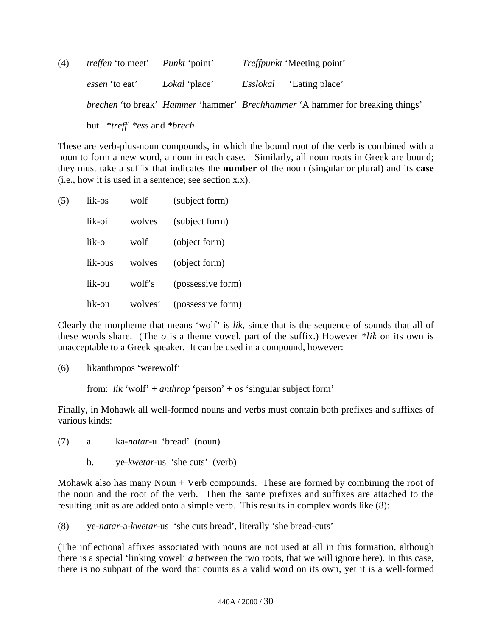| (4) | <i>treffen</i> 'to meet' <i>Punkt</i> 'point'            |                                                             | <i>Treffpunkt</i> 'Meeting point'                                                                  |
|-----|----------------------------------------------------------|-------------------------------------------------------------|----------------------------------------------------------------------------------------------------|
|     |                                                          | <i>essen</i> 'to eat' Lokal 'place' Esslokal 'Eating place' |                                                                                                    |
|     |                                                          |                                                             | <i>brechen</i> 'to break' <i>Hammer</i> 'hammer' <i>Brechhammer</i> 'A hammer for breaking things' |
|     | but $*$ <i>treff</i> $*$ <i>ess</i> and $*$ <i>brech</i> |                                                             |                                                                                                    |

These are verb-plus-noun compounds, in which the bound root of the verb is combined with a noun to form a new word, a noun in each case. Similarly, all noun roots in Greek are bound; they must take a suffix that indicates the **number** of the noun (singular or plural) and its **case** (i.e., how it is used in a sentence; see section x.x).

(5) lik-os wolf (subject form) lik-oi wolves (subject form) lik-o wolf (object form) lik-ous wolves (object form) lik-ou wolf's (possessive form) lik-on wolves' (possessive form)

Clearly the morpheme that means 'wolf' is *lik*, since that is the sequence of sounds that all of these words share. (The *o* is a theme vowel, part of the suffix.) However *\*lik* on its own is unacceptable to a Greek speaker. It can be used in a compound, however:

(6) likanthropos 'werewolf'

from: *lik* 'wolf' + *anthrop* 'person' + *os* 'singular subject form'

Finally, in Mohawk all well-formed nouns and verbs must contain both prefixes and suffixes of various kinds:

(7) a. ka-*natar*-u 'bread' (noun)

b. ye-*kwetar*-us 'she cuts' (verb)

Mohawk also has many Noun  $+$  Verb compounds. These are formed by combining the root of the noun and the root of the verb. Then the same prefixes and suffixes are attached to the resulting unit as are added onto a simple verb. This results in complex words like (8):

(8) ye-*natar*-a-*kwetar*-us 'she cuts bread', literally 'she bread-cuts'

(The inflectional affixes associated with nouns are not used at all in this formation, although there is a special 'linking vowel' *a* between the two roots, that we will ignore here). In this case, there is no subpart of the word that counts as a valid word on its own, yet it is a well-formed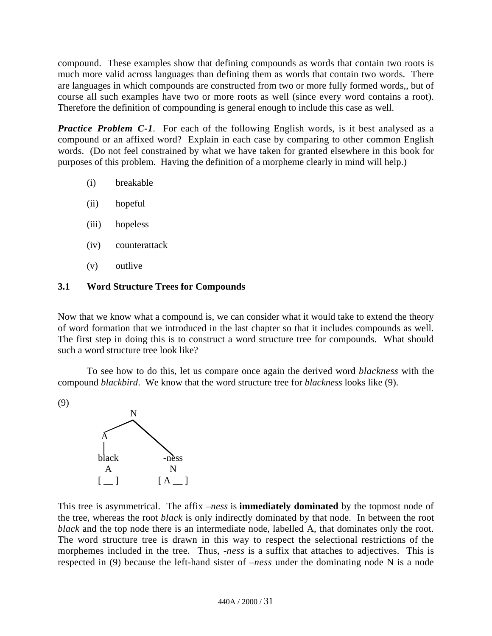compound. These examples show that defining compounds as words that contain two roots is much more valid across languages than defining them as words that contain two words. There are languages in which compounds are constructed from two or more fully formed words,, but of course all such examples have two or more roots as well (since every word contains a root). Therefore the definition of compounding is general enough to include this case as well.

*Practice Problem C-1*. For each of the following English words, is it best analysed as a compound or an affixed word? Explain in each case by comparing to other common English words. (Do not feel constrained by what we have taken for granted elsewhere in this book for purposes of this problem. Having the definition of a morpheme clearly in mind will help.)

- (i) breakable
- (ii) hopeful
- (iii) hopeless
- (iv) counterattack
- (v) outlive

# **3.1 Word Structure Trees for Compounds**

Now that we know what a compound is, we can consider what it would take to extend the theory of word formation that we introduced in the last chapter so that it includes compounds as well. The first step in doing this is to construct a word structure tree for compounds. What should such a word structure tree look like?

To see how to do this, let us compare once again the derived word *blackness* with the compound *blackbird*. We know that the word structure tree for *blackness* looks like (9).

(9)



This tree is asymmetrical. The affix *–ness* is **immediately dominated** by the topmost node of the tree, whereas the root *black* is only indirectly dominated by that node. In between the root *black* and the top node there is an intermediate node, labelled A, that dominates only the root. The word structure tree is drawn in this way to respect the selectional restrictions of the morphemes included in the tree. Thus, -*ness* is a suffix that attaches to adjectives. This is respected in (9) because the left-hand sister of –*ness* under the dominating node N is a node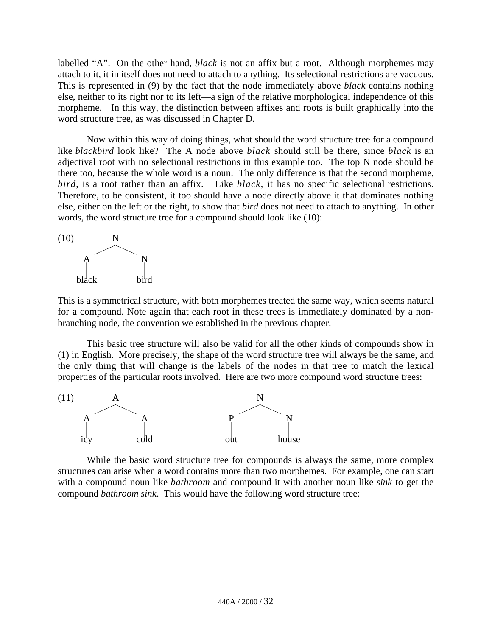labelled "A". On the other hand, *black* is not an affix but a root. Although morphemes may attach to it, it in itself does not need to attach to anything. Its selectional restrictions are vacuous. This is represented in (9) by the fact that the node immediately above *black* contains nothing else, neither to its right nor to its left—a sign of the relative morphological independence of this morpheme. In this way, the distinction between affixes and roots is built graphically into the word structure tree, as was discussed in Chapter D.

Now within this way of doing things, what should the word structure tree for a compound like *blackbird* look like? The A node above *black* should still be there, since *black* is an adjectival root with no selectional restrictions in this example too. The top N node should be there too, because the whole word is a noun. The only difference is that the second morpheme, *bird*, is a root rather than an affix. Like *black*, it has no specific selectional restrictions. Therefore, to be consistent, it too should have a node directly above it that dominates nothing else, either on the left or the right, to show that *bird* does not need to attach to anything. In other words, the word structure tree for a compound should look like (10):



This is a symmetrical structure, with both morphemes treated the same way, which seems natural for a compound. Note again that each root in these trees is immediately dominated by a nonbranching node, the convention we established in the previous chapter.

This basic tree structure will also be valid for all the other kinds of compounds show in (1) in English. More precisely, the shape of the word structure tree will always be the same, and the only thing that will change is the labels of the nodes in that tree to match the lexical properties of the particular roots involved. Here are two more compound word structure trees:



While the basic word structure tree for compounds is always the same, more complex structures can arise when a word contains more than two morphemes. For example, one can start with a compound noun like *bathroom* and compound it with another noun like *sink* to get the compound *bathroom sink*. This would have the following word structure tree: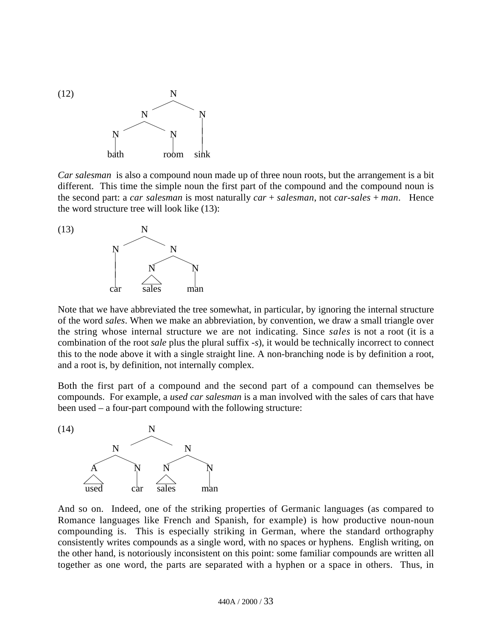

*Car salesman* is also a compound noun made up of three noun roots, but the arrangement is a bit different. This time the simple noun the first part of the compound and the compound noun is the second part: a *car salesman* is most naturally *car* + *salesman*, not *car-sales* + *man*. Hence the word structure tree will look like (13):



Note that we have abbreviated the tree somewhat, in particular, by ignoring the internal structure of the word *sales*. When we make an abbreviation, by convention, we draw a small triangle over the string whose internal structure we are not indicating. Since *sales* is not a root (it is a combination of the root *sale* plus the plural suffix *-s*), it would be technically incorrect to connect this to the node above it with a single straight line. A non-branching node is by definition a root, and a root is, by definition, not internally complex.

Both the first part of a compound and the second part of a compound can themselves be compounds. For example, a *used car salesman* is a man involved with the sales of cars that have been used – a four-part compound with the following structure:



And so on. Indeed, one of the striking properties of Germanic languages (as compared to Romance languages like French and Spanish, for example) is how productive noun-noun compounding is. This is especially striking in German, where the standard orthography consistently writes compounds as a single word, with no spaces or hyphens. English writing, on the other hand, is notoriously inconsistent on this point: some familiar compounds are written all together as one word, the parts are separated with a hyphen or a space in others. Thus, in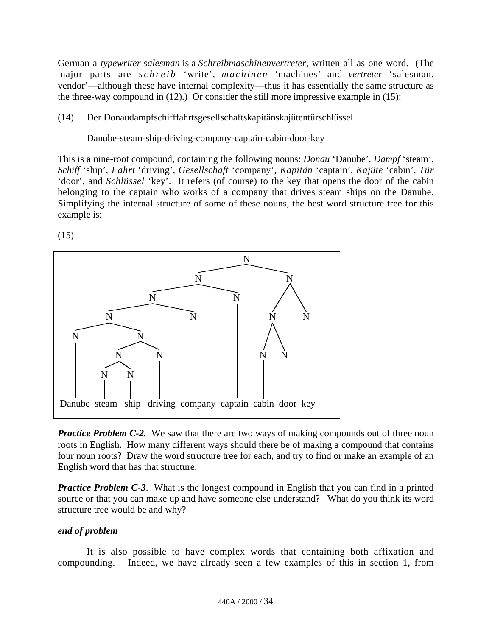German a *typewriter salesman* is a *Schreibmaschinenvertreter*, written all as one word. (The major parts are *schreib* 'write', *machinen* 'machines' and *vertreter* 'salesman, vendor'—although these have internal complexity—thus it has essentially the same structure as the three-way compound in (12).) Or consider the still more impressive example in (15):

## (14) Der Donaudampfschifffahrtsgesellschaftskapitänskajütentürschlüssel

Danube-steam-ship-driving-company-captain-cabin-door-key

This is a nine-root compound, containing the following nouns: *Donau* 'Danube', *Dampf* 'steam', *Schiff* 'ship', *Fahrt* 'driving', *Gesellschaft* 'company', *Kapitän* 'captain', *Kajüte* 'cabin', *Tür* 'door', and *Schlüssel* 'key'. It refers (of course) to the key that opens the door of the cabin belonging to the captain who works of a company that drives steam ships on the Danube. Simplifying the internal structure of some of these nouns, the best word structure tree for this example is:

(15)



*Practice Problem C-2.* We saw that there are two ways of making compounds out of three noun roots in English. How many different ways should there be of making a compound that contains four noun roots? Draw the word structure tree for each, and try to find or make an example of an English word that has that structure.

*Practice Problem C-3*. What is the longest compound in English that you can find in a printed source or that you can make up and have someone else understand? What do you think its word structure tree would be and why?

#### *end of problem*

It is also possible to have complex words that containing both affixation and compounding. Indeed, we have already seen a few examples of this in section 1, from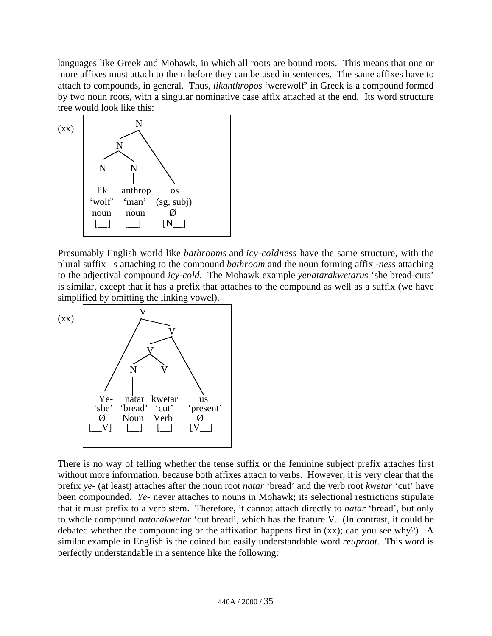languages like Greek and Mohawk, in which all roots are bound roots. This means that one or more affixes must attach to them before they can be used in sentences. The same affixes have to attach to compounds, in general. Thus, *likanthropos* 'werewolf' in Greek is a compound formed by two noun roots, with a singular nominative case affix attached at the end. Its word structure tree would look like this:



Presumably English world like *bathrooms* and *icy-coldness* have the same structure, with the plural suffix *–s* attaching to the compound *bathroom* and the noun forming affix *-ness* attaching to the adjectival compound *icy-cold*. The Mohawk example *yenatarakwetarus* 'she bread-cuts' is similar, except that it has a prefix that attaches to the compound as well as a suffix (we have simplified by omitting the linking vowel).



There is no way of telling whether the tense suffix or the feminine subject prefix attaches first without more information, because both affixes attach to verbs. However, it is very clear that the prefix *ye-* (at least) attaches after the noun root *natar* 'bread' and the verb root *kwetar* 'cut' have been compounded. *Ye-* never attaches to nouns in Mohawk; its selectional restrictions stipulate that it must prefix to a verb stem. Therefore, it cannot attach directly to *natar* 'bread', but only to whole compound *natarakwetar* 'cut bread', which has the feature V. (In contrast, it could be debated whether the compounding or the affixation happens first in (xx); can you see why?) A similar example in English is the coined but easily understandable word *reuproot*. This word is perfectly understandable in a sentence like the following: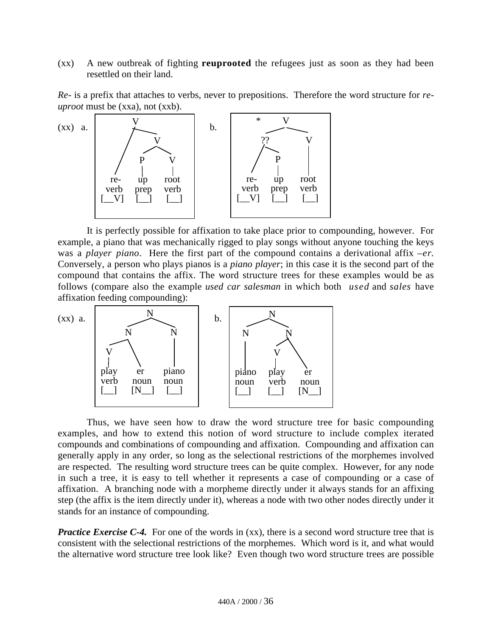(xx) A new outbreak of fighting **reuprooted** the refugees just as soon as they had been resettled on their land.

*Re-* is a prefix that attaches to verbs, never to prepositions. Therefore the word structure for *reuproot* must be (xxa), not (xxb).



It is perfectly possible for affixation to take place prior to compounding, however. For example, a piano that was mechanically rigged to play songs without anyone touching the keys was a *player piano*. Here the first part of the compound contains a derivational affix *–er*. Conversely, a person who plays pianos is a *piano player*; in this case it is the second part of the compound that contains the affix. The word structure trees for these examples would be as follows (compare also the example *used car salesman* in which both *used* and *sales* have affixation feeding compounding):



Thus, we have seen how to draw the word structure tree for basic compounding examples, and how to extend this notion of word structure to include complex iterated compounds and combinations of compounding and affixation. Compounding and affixation can generally apply in any order, so long as the selectional restrictions of the morphemes involved are respected. The resulting word structure trees can be quite complex. However, for any node in such a tree, it is easy to tell whether it represents a case of compounding or a case of affixation. A branching node with a morpheme directly under it always stands for an affixing step (the affix is the item directly under it), whereas a node with two other nodes directly under it stands for an instance of compounding.

*Practice Exercise C-4.* For one of the words in (xx), there is a second word structure tree that is consistent with the selectional restrictions of the morphemes. Which word is it, and what would the alternative word structure tree look like? Even though two word structure trees are possible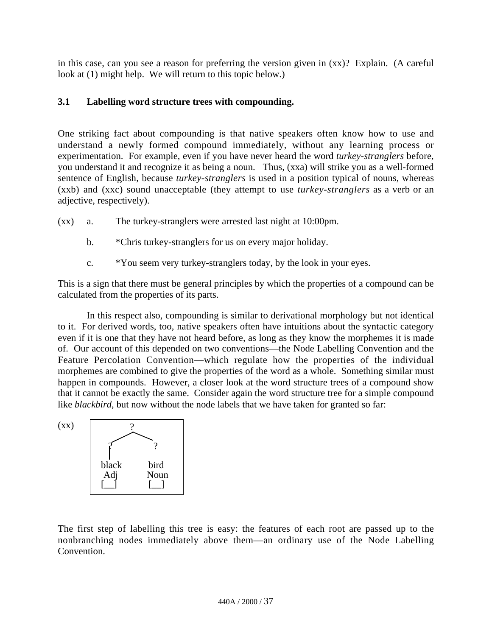in this case, can you see a reason for preferring the version given in (xx)? Explain. (A careful look at (1) might help. We will return to this topic below.)

# **3.1 Labelling word structure trees with compounding.**

One striking fact about compounding is that native speakers often know how to use and understand a newly formed compound immediately, without any learning process or experimentation. For example, even if you have never heard the word *turkey-stranglers* before, you understand it and recognize it as being a noun. Thus, (xxa) will strike you as a well-formed sentence of English, because *turkey-stranglers* is used in a position typical of nouns, whereas (xxb) and (xxc) sound unacceptable (they attempt to use *turkey-stranglers* as a verb or an adjective, respectively).

- (xx) a. The turkey-stranglers were arrested last night at 10:00pm.
	- b. \* Chris turkey-stranglers for us on every major holiday.
	- c. \*You seem very turkey-stranglers today, by the look in your eyes.

This is a sign that there must be general principles by which the properties of a compound can be calculated from the properties of its parts.

In this respect also, compounding is similar to derivational morphology but not identical to it. For derived words, too, native speakers often have intuitions about the syntactic category even if it is one that they have not heard before, as long as they know the morphemes it is made of. Our account of this depended on two conventions—the Node Labelling Convention and the Feature Percolation Convention—which regulate how the properties of the individual morphemes are combined to give the properties of the word as a whole. Something similar must happen in compounds. However, a closer look at the word structure trees of a compound show that it cannot be exactly the same. Consider again the word structure tree for a simple compound like *blackbird*, but now without the node labels that we have taken for granted so far:



The first step of labelling this tree is easy: the features of each root are passed up to the nonbranching nodes immediately above them—an ordinary use of the Node Labelling Convention.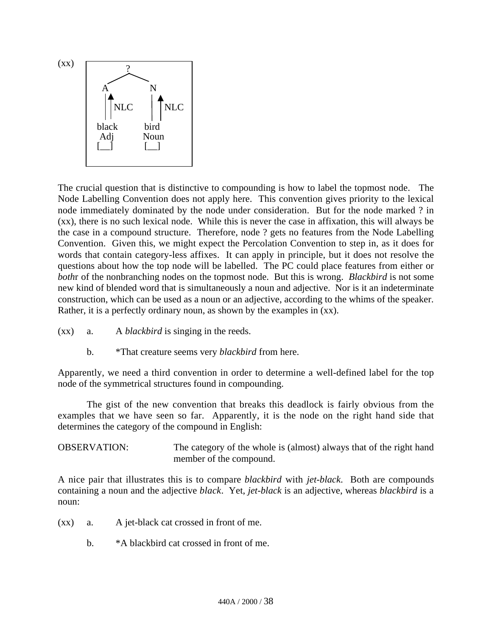

The crucial question that is distinctive to compounding is how to label the topmost node. The Node Labelling Convention does not apply here. This convention gives priority to the lexical node immediately dominated by the node under consideration. But for the node marked ? in (xx), there is no such lexical node. While this is never the case in affixation, this will always be the case in a compound structure. Therefore, node ? gets no features from the Node Labelling Convention. Given this, we might expect the Percolation Convention to step in, as it does for words that contain category-less affixes. It can apply in principle, but it does not resolve the questions about how the top node will be labelled. The PC could place features from either or *both*r of the nonbranching nodes on the topmost node. But this is wrong. *Blackbird* is not some new kind of blended word that is simultaneously a noun and adjective. Nor is it an indeterminate construction, which can be used as a noun or an adjective, according to the whims of the speaker. Rather, it is a perfectly ordinary noun, as shown by the examples in (xx).

- (xx) a. A *blackbird* is singing in the reeds.
	- b. \*That creature seems very *blackbird* from here.

Apparently, we need a third convention in order to determine a well-defined label for the top node of the symmetrical structures found in compounding.

The gist of the new convention that breaks this deadlock is fairly obvious from the examples that we have seen so far. Apparently, it is the node on the right hand side that determines the category of the compound in English:

OBSERVATION: The category of the whole is (almost) always that of the right hand member of the compound.

A nice pair that illustrates this is to compare *blackbird* with *jet-black*. Both are compounds containing a noun and the adjective *black*. Yet, *jet-black* is an adjective, whereas *blackbird* is a noun:

- (xx) a. A jet-black cat crossed in front of me.
	- b. \*A blackbird cat crossed in front of me.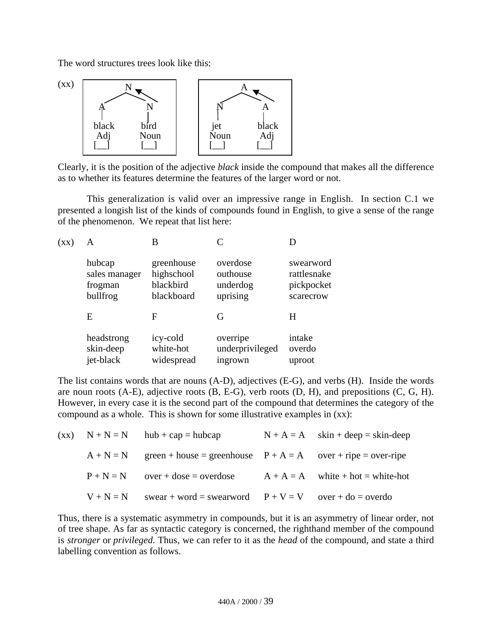The word structures trees look like this:



Clearly, it is the position of the adjective *black* inside the compound that makes all the difference as to whether its features determine the features of the larger word or not.

This generalization is valid over an impressive range in English. In section C.1 we presented a longish list of the kinds of compounds found in English, to give a sense of the range of the phenomenon. We repeat that list here:

| $(\mathbf{X}\mathbf{X})$ | A             | B          |                 |             |
|--------------------------|---------------|------------|-----------------|-------------|
|                          | hubcap        | greenhouse | overdose        | swearword   |
|                          | sales manager | highschool | outhouse        | rattlesnake |
|                          | frogman       | blackbird  | underdog        | pickpocket  |
|                          | bullfrog      | blackboard | uprising        | scarecrow   |
|                          | E             | F          | G               | H           |
|                          | headstrong    | icy-cold   | overripe        | intake      |
|                          | skin-deep     | white-hot  | underprivileged | overdo      |
|                          | jet-black     | widespread | ingrown         | uproot      |

The list contains words that are nouns (A-D), adjectives (E-G), and verbs (H). Inside the words are noun roots (A-E), adjective roots (B, E-G), verb roots (D, H), and prepositions (C, G, H). However, in every case it is the second part of the compound that determines the category of the compound as a whole. This is shown for some illustrative examples in (xx):

|             | $(xx)$ $N + N = N$ $hub + cap = hubcap$                                    | $N + A = A$ skin + deep = skin-deep |
|-------------|----------------------------------------------------------------------------|-------------------------------------|
|             | $A + N = N$ green + house = greenhouse $P + A = A$ over + ripe = over-ripe |                                     |
|             | $P + N = N$ over + dose = overdose                                         | $A + A = A$ white + hot = white-hot |
| $V + N = N$ | swear + word = swearword $P + V = V$ over + do = overdo                    |                                     |

Thus, there is a systematic asymmetry in compounds, but it is an asymmetry of linear order, not of tree shape. As far as syntactic category is concerned, the righthand member of the compound is *stronger* or *privileged*. Thus, we can refer to it as the *head* of the compound, and state a third labelling convention as follows.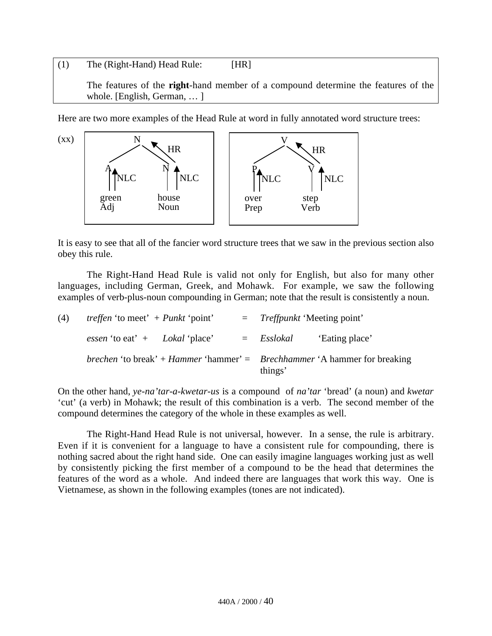## (1) The (Right-Hand) Head Rule: [HR]

The features of the **right**-hand member of a compound determine the features of the whole. [English, German, … ]

Here are two more examples of the Head Rule at word in fully annotated word structure trees:



It is easy to see that all of the fancier word structure trees that we saw in the previous section also obey this rule.

The Right-Hand Head Rule is valid not only for English, but also for many other languages, including German, Greek, and Mohawk. For example, we saw the following examples of verb-plus-noun compounding in German; note that the result is consistently a noun.

| (4) | <i>treffen</i> 'to meet' + $Punkt$ 'point'     |  | $=$ Treffpunkt 'Meeting point' |                                                                                                |
|-----|------------------------------------------------|--|--------------------------------|------------------------------------------------------------------------------------------------|
|     | <i>essen</i> 'to eat' $+$ <i>Lokal</i> 'place' |  | $=$ Esslokal                   | 'Eating place'                                                                                 |
|     |                                                |  | things'                        | <i>brechen</i> 'to break' + <i>Hammer</i> 'hammer' = <i>Brechhammer</i> 'A hammer for breaking |

On the other hand, *ye-na'tar-a-kwetar-us* is a compound of *na'tar* 'bread' (a noun) and *kwetar* 'cut' (a verb) in Mohawk; the result of this combination is a verb. The second member of the compound determines the category of the whole in these examples as well.

The Right-Hand Head Rule is not universal, however. In a sense, the rule is arbitrary. Even if it is convenient for a language to have a consistent rule for compounding, there is nothing sacred about the right hand side. One can easily imagine languages working just as well by consistently picking the first member of a compound to be the head that determines the features of the word as a whole. And indeed there are languages that work this way. One is Vietnamese, as shown in the following examples (tones are not indicated).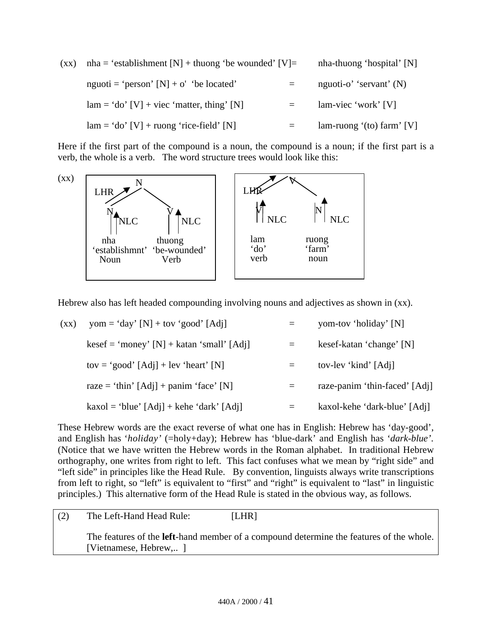$(xx)$  nha = 'establishment  $[N]$  + thuong 'be wounded'  $[V]$  = nha-thuong 'hospital'  $[N]$ nguoti = 'person'  $[N] + o'$  'be located' = nguoti-o' 'servant' (N)  $lam = 'do' [V] + vice' matter, thing' [N] = lam-view' work' [V]$  $lam = 'do' [V] + ruong 'rice-field' [N]$  = lam-ruong '(to) farm' [V]

Here if the first part of the compound is a noun, the compound is a noun; if the first part is a verb, the whole is a verb. The word structure trees would look like this:



Hebrew also has left headed compounding involving nouns and adjectives as shown in (xx).

| $(\mathbf{X}\mathbf{X})$ | yom = 'day' [N] + tov 'good' [Adj]          |     | yom-tov 'holiday' [N]         |
|--------------------------|---------------------------------------------|-----|-------------------------------|
|                          | $kesef = 'money' [N] + katan 'small' [Adj]$ |     | kesef-katan 'change' [N]      |
|                          | tov = 'good' $[Adj]$ + lev 'heart' $[N]$    |     | tov-lev 'kind' [Adj]          |
|                          | raze = 'thin' $[Adj]$ + panim 'face' $[N]$  | $=$ | raze-panim 'thin-faced' [Adj] |
|                          | $kaxol = 'blue' [Adj] + kehe 'dark' [Adj]$  | $=$ | kaxol-kehe 'dark-blue' [Adj]  |
|                          |                                             |     |                               |

These Hebrew words are the exact reverse of what one has in English: Hebrew has 'day-good', and English has '*holiday'* (=holy+day); Hebrew has 'blue-dark' and English has '*dark-blue'*. (Notice that we have written the Hebrew words in the Roman alphabet. In traditional Hebrew orthography, one writes from right to left. This fact confuses what we mean by "right side" and "left side" in principles like the Head Rule. By convention, linguists always write transcriptions from left to right, so "left" is equivalent to "first" and "right" is equivalent to "last" in linguistic principles.) This alternative form of the Head Rule is stated in the obvious way, as follows.

| (2) | The Left-Hand Head Rule: | [LHR]                                                                                           |
|-----|--------------------------|-------------------------------------------------------------------------------------------------|
|     | [Vietnamese, Hebrew,]    | The features of the <b>left</b> -hand member of a compound determine the features of the whole. |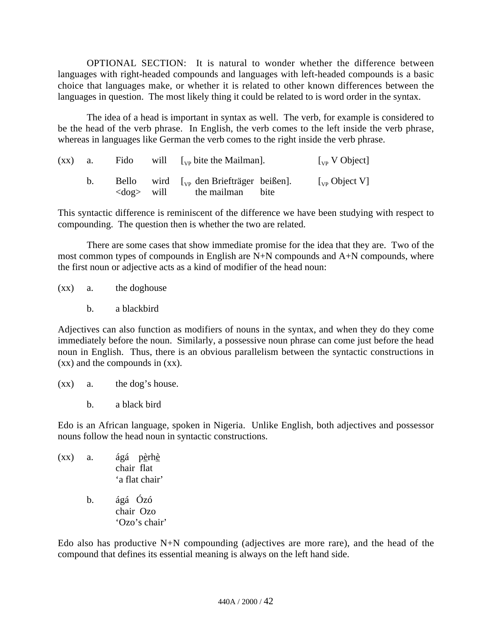OPTIONAL SECTION: It is natural to wonder whether the difference between languages with right-headed compounds and languages with left-headed compounds is a basic choice that languages make, or whether it is related to other known differences between the languages in question. The most likely thing it could be related to is word order in the syntax.

The idea of a head is important in syntax as well. The verb, for example is considered to be the head of the verb phrase. In English, the verb comes to the left inside the verb phrase, whereas in languages like German the verb comes to the right inside the verb phrase.

| $(xx)$ a. |                     | Fido will $\lceil v_{vp} \rceil$ bite the Mailman.                  | $\int_{VP}$ V Object                                                 |
|-----------|---------------------|---------------------------------------------------------------------|----------------------------------------------------------------------|
|           | $\langle$ dog> will | Bello wird $\int_{VP}$ den Briefträger beißen].<br>the mailman bite | $\left[\begin{smallmatrix} 1 \\ V \end{smallmatrix}\right]$ Object V |

This syntactic difference is reminiscent of the difference we have been studying with respect to compounding. The question then is whether the two are related.

There are some cases that show immediate promise for the idea that they are. Two of the most common types of compounds in English are N+N compounds and A+N compounds, where the first noun or adjective acts as a kind of modifier of the head noun:

(xx) a. the doghouse

b. a blackbird

Adjectives can also function as modifiers of nouns in the syntax, and when they do they come immediately before the noun. Similarly, a possessive noun phrase can come just before the head noun in English. Thus, there is an obvious parallelism between the syntactic constructions in (xx) and the compounds in (xx).

- (xx) a. the dog's house.
	- b. a black bird

Edo is an African language, spoken in Nigeria. Unlike English, both adjectives and possessor nouns follow the head noun in syntactic constructions.

- $(xx)$  a. ágá p<u>èrhè</u> chair flat 'a flat chair'
	- b. ágá Ózó chair Ozo 'Ozo's chair'

Edo also has productive N+N compounding (adjectives are more rare), and the head of the compound that defines its essential meaning is always on the left hand side.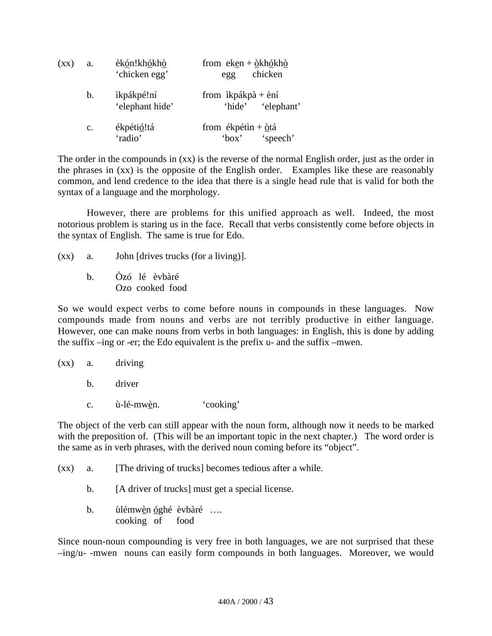| $(\mathbf{X}\mathbf{X})$ | a.             | èkón!khókhò<br>'chicken egg'  | from $eken + \hat{Q}kh\hat{Q}kh\hat{Q}$<br>chicken<br>egg |
|--------------------------|----------------|-------------------------------|-----------------------------------------------------------|
|                          | $\mathbf{b}$ . | ìkpákpé!ní<br>'elephant hide' | from $ikpákpà + èní$<br>'elephant'<br>'hide'              |
|                          | $\mathbf{c}$ . | ékpétió!tá<br>'radio'         | from ékpétin + $\dot{\Omega}$ tá<br>'speech'<br>'box'     |

The order in the compounds in (xx) is the reverse of the normal English order, just as the order in the phrases in (xx) is the opposite of the English order. Examples like these are reasonably common, and lend credence to the idea that there is a single head rule that is valid for both the syntax of a language and the morphology.

However, there are problems for this unified approach as well. Indeed, the most notorious problem is staring us in the face. Recall that verbs consistently come before objects in the syntax of English. The same is true for Edo.

- (xx) a. John [drives trucks (for a living)].
	- b. Òzó lé èvbàré Ozo cooked food

So we would expect verbs to come before nouns in compounds in these languages. Now compounds made from nouns and verbs are not terribly productive in either language. However, one can make nouns from verbs in both languages: in English, this is done by adding the suffix –ing or -er; the Edo equivalent is the prefix u- and the suffix –mwen.

(xx) a. driving

b. driver

c. ù-lé-mwèn. 'cooking'

The object of the verb can still appear with the noun form, although now it needs to be marked with the preposition of. (This will be an important topic in the next chapter.) The word order is the same as in verb phrases, with the derived noun coming before its "object".

- (xx) a. [The driving of trucks] becomes tedious after a while.
	- b. [A driver of trucks] must get a special license.
	- b. ùlémw<u>èn óghé èvbàré</u> .... cooking of food

Since noun-noun compounding is very free in both languages, we are not surprised that these –ing/u- -mwen nouns can easily form compounds in both languages. Moreover, we would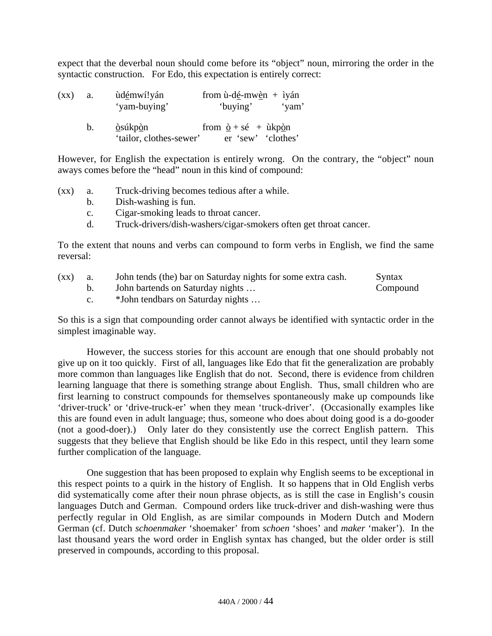expect that the deverbal noun should come before its "object" noun, mirroring the order in the syntactic construction. For Edo, this expectation is entirely correct:

| $(\mathbf{X}\mathbf{X})$ | a. | ùdémwí!yán<br>'yam-buying'                          | from $\dot{u}$ -dé-mwèn + iyán<br>'buying'                 | 'yam' |
|--------------------------|----|-----------------------------------------------------|------------------------------------------------------------|-------|
|                          | b. | <u>ò</u> súkp <u>ò</u> n<br>'tailor, clothes-sewer' | from $\dot{Q}$ + sé + ùkp <u>ò</u> n<br>er 'sew' 'clothes' |       |

However, for English the expectation is entirely wrong. On the contrary, the "object" noun aways comes before the "head" noun in this kind of compound:

(xx) a. Truck-driving becomes tedious after a while.

- b. Dish-washing is fun.
- c. Cigar-smoking leads to throat cancer.
- d. Truck-drivers/dish-washers/cigar-smokers often get throat cancer.

To the extent that nouns and verbs can compound to form verbs in English, we find the same reversal:

| $\left( xx\right)$ | John tends (the) bar on Saturday nights for some extra cash. | Syntax   |
|--------------------|--------------------------------------------------------------|----------|
|                    | John bartends on Saturday nights                             | Compound |
|                    | *John tendbars on Saturday nights                            |          |

So this is a sign that compounding order cannot always be identified with syntactic order in the simplest imaginable way.

However, the success stories for this account are enough that one should probably not give up on it too quickly. First of all, languages like Edo that fit the generalization are probably more common than languages like English that do not. Second, there is evidence from children learning language that there is something strange about English. Thus, small children who are first learning to construct compounds for themselves spontaneously make up compounds like 'driver-truck' or 'drive-truck-er' when they mean 'truck-driver'. (Occasionally examples like this are found even in adult language; thus, someone who does about doing good is a do-gooder (not a good-doer).) Only later do they consistently use the correct English pattern. This suggests that they believe that English should be like Edo in this respect, until they learn some further complication of the language.

One suggestion that has been proposed to explain why English seems to be exceptional in this respect points to a quirk in the history of English. It so happens that in Old English verbs did systematically come after their noun phrase objects, as is still the case in English's cousin languages Dutch and German. Compound orders like truck-driver and dish-washing were thus perfectly regular in Old English, as are similar compounds in Modern Dutch and Modern German (cf. Dutch *schoenmaker* 'shoemaker' from *schoen* 'shoes' and *maker* 'maker'). In the last thousand years the word order in English syntax has changed, but the older order is still preserved in compounds, according to this proposal.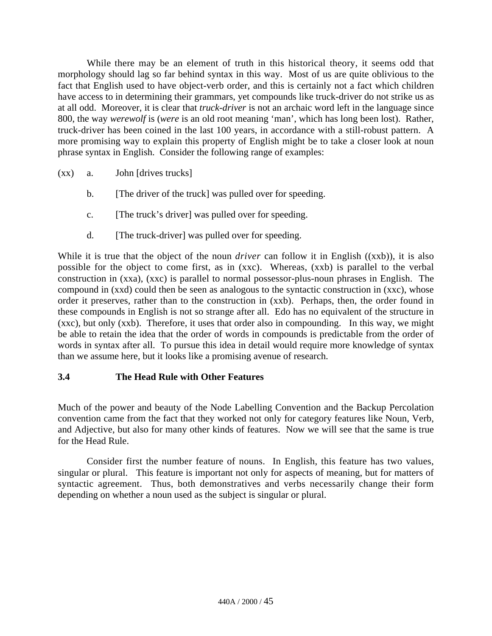While there may be an element of truth in this historical theory, it seems odd that morphology should lag so far behind syntax in this way. Most of us are quite oblivious to the fact that English used to have object-verb order, and this is certainly not a fact which children have access to in determining their grammars, yet compounds like truck-driver do not strike us as at all odd. Moreover, it is clear that *truck-driver* is not an archaic word left in the language since 800, the way *werewolf* is (*were* is an old root meaning 'man', which has long been lost). Rather, truck-driver has been coined in the last 100 years, in accordance with a still-robust pattern. A more promising way to explain this property of English might be to take a closer look at noun phrase syntax in English. Consider the following range of examples:

- (xx) a. John [drives trucks]
	- b. [The driver of the truck] was pulled over for speeding.
	- c. [The truck's driver] was pulled over for speeding.
	- d. [The truck-driver] was pulled over for speeding.

While it is true that the object of the noun *driver* can follow it in English ((xxb)), it is also possible for the object to come first, as in (xxc). Whereas, (xxb) is parallel to the verbal construction in (xxa), (xxc) is parallel to normal possessor-plus-noun phrases in English. The compound in (xxd) could then be seen as analogous to the syntactic construction in (xxc), whose order it preserves, rather than to the construction in (xxb). Perhaps, then, the order found in these compounds in English is not so strange after all. Edo has no equivalent of the structure in (xxc), but only (xxb). Therefore, it uses that order also in compounding. In this way, we might be able to retain the idea that the order of words in compounds is predictable from the order of words in syntax after all. To pursue this idea in detail would require more knowledge of syntax than we assume here, but it looks like a promising avenue of research.

#### **3.4 The Head Rule with Other Features**

Much of the power and beauty of the Node Labelling Convention and the Backup Percolation convention came from the fact that they worked not only for category features like Noun, Verb, and Adjective, but also for many other kinds of features. Now we will see that the same is true for the Head Rule.

Consider first the number feature of nouns. In English, this feature has two values, singular or plural. This feature is important not only for aspects of meaning, but for matters of syntactic agreement. Thus, both demonstratives and verbs necessarily change their form depending on whether a noun used as the subject is singular or plural.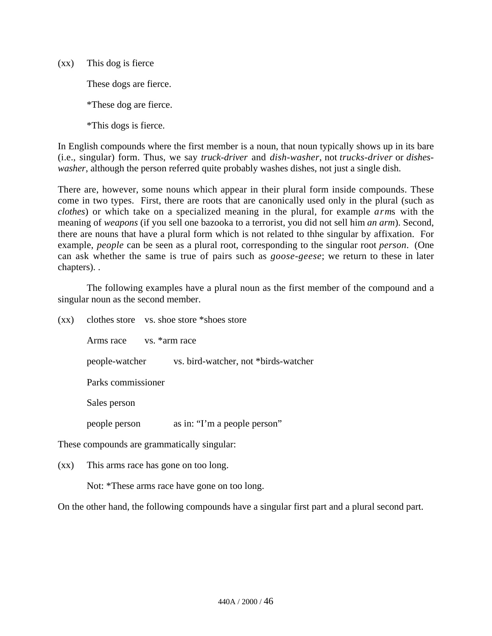(xx) This dog is fierce

These dogs are fierce.

\*These dog are fierce.

\*This dogs is fierce.

In English compounds where the first member is a noun, that noun typically shows up in its bare (i.e., singular) form. Thus, we say *truck-driver* and *dish-washer*, not *trucks-driver* or *disheswasher*, although the person referred quite probably washes dishes, not just a single dish.

There are, however, some nouns which appear in their plural form inside compounds. These come in two types. First, there are roots that are canonically used only in the plural (such as *clothes*) or which take on a specialized meaning in the plural, for example *arm*s with the meaning of *weapons* (if you sell one bazooka to a terrorist, you did not sell him *an arm*). Second, there are nouns that have a plural form which is not related to thhe singular by affixation. For example, *people* can be seen as a plural root, corresponding to the singular root *person*. (One can ask whether the same is true of pairs such as *goose-geese*; we return to these in later chapters). .

The following examples have a plural noun as the first member of the compound and a singular noun as the second member.

| $(\mathbf{X}\mathbf{X})$ |                    |  | clothes store vs. shoe store *shoes store   |  |
|--------------------------|--------------------|--|---------------------------------------------|--|
|                          | Arms race          |  | vs. *arm race                               |  |
|                          | people-watcher     |  | vs. bird-watcher, not *birds-watcher        |  |
|                          | Parks commissioner |  |                                             |  |
|                          | Sales person       |  |                                             |  |
|                          | people person      |  | as in: "I'm a people person"                |  |
|                          |                    |  | These compounds are grammatically singular: |  |

(xx) This arms race has gone on too long.

Not: \*These arms race have gone on too long.

On the other hand, the following compounds have a singular first part and a plural second part.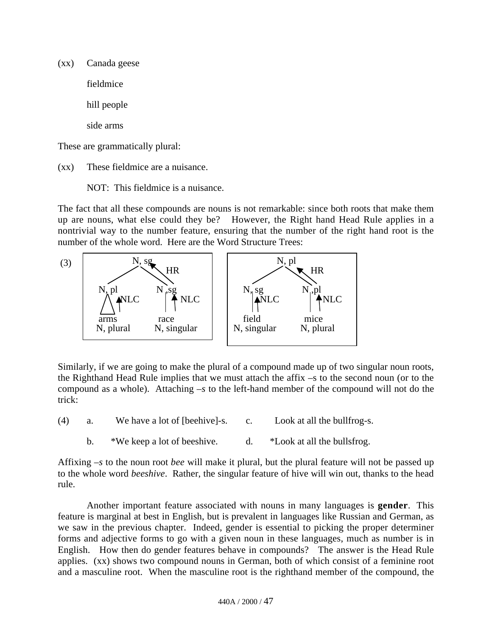(xx) Canada geese fieldmice hill people side arms

These are grammatically plural:

(xx) These fieldmice are a nuisance.

NOT: This fieldmice is a nuisance.

The fact that all these compounds are nouns is not remarkable: since both roots that make them up are nouns, what else could they be? However, the Right hand Head Rule applies in a nontrivial way to the number feature, ensuring that the number of the right hand root is the number of the whole word. Here are the Word Structure Trees:



Similarly, if we are going to make the plural of a compound made up of two singular noun roots, the Righthand Head Rule implies that we must attach the affix –s to the second noun (or to the compound as a whole). Attaching *–s* to the left-hand member of the compound will not do the trick:

- (4) a. We have a lot of [beehive]-s. c. Look at all the bullfrog-s.
	- b. \*We keep a lot of beeshive. d. \*Look at all the bullsfrog.

Affixing *–s* to the noun root *bee* will make it plural, but the plural feature will not be passed up to the whole word *beeshive*. Rather, the singular feature of hive will win out, thanks to the head rule.

Another important feature associated with nouns in many languages is **gender**. This feature is marginal at best in English, but is prevalent in languages like Russian and German, as we saw in the previous chapter. Indeed, gender is essential to picking the proper determiner forms and adjective forms to go with a given noun in these languages, much as number is in English. How then do gender features behave in compounds? The answer is the Head Rule applies. (xx) shows two compound nouns in German, both of which consist of a feminine root and a masculine root. When the masculine root is the righthand member of the compound, the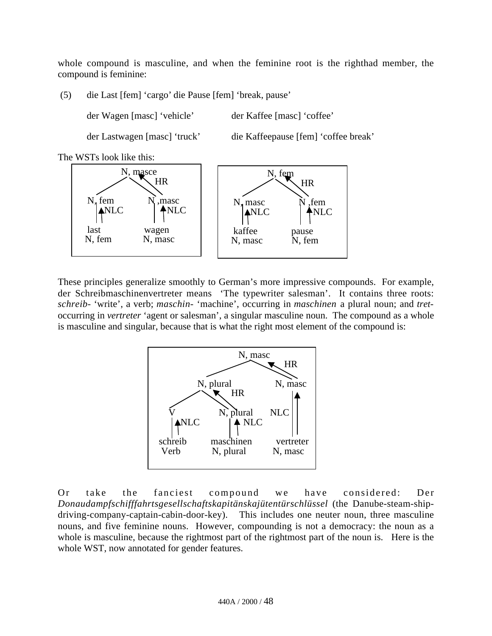whole compound is masculine, and when the feminine root is the righthad member, the compound is feminine:

(5) die Last [fem] 'cargo' die Pause [fem] 'break, pause'

der Wagen [masc] 'vehicle' der Kaffee [masc] 'coffee'

der Lastwagen [masc] 'truck' die Kaffeepause [fem] 'coffee break'

The WSTs look like this:



These principles generalize smoothly to German's more impressive compounds. For example, der Schreibmaschinenvertreter means 'The typewriter salesman'. It contains three roots: *schreib*- 'write', a verb; *maschin-* 'machine', occurring in *maschinen* a plural noun; and *tret*occurring in *vertreter* 'agent or salesman', a singular masculine noun. The compound as a whole is masculine and singular, because that is what the right most element of the compound is:



Or take the fanciest compound we have considered: Der *Donaudampfschifffahrtsgesellschaftskapitänskajütentürschlüssel* (the Danube-steam-shipdriving-company-captain-cabin-door-key). This includes one neuter noun, three masculine nouns, and five feminine nouns. However, compounding is not a democracy: the noun as a whole is masculine, because the rightmost part of the rightmost part of the noun is. Here is the whole WST, now annotated for gender features.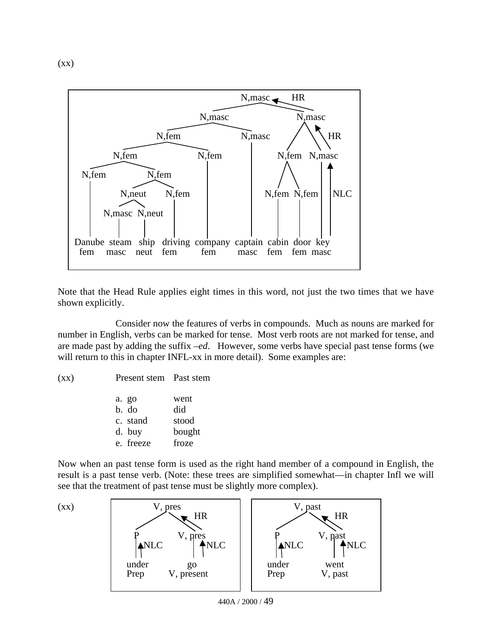$(xx)$ 



Note that the Head Rule applies eight times in this word, not just the two times that we have shown explicitly.

Consider now the features of verbs in compounds. Much as nouns are marked for number in English, verbs can be marked for tense. Most verb roots are not marked for tense, and are made past by adding the suffix *–ed*. However, some verbs have special past tense forms (we will return to this in chapter INFL-xx in more detail). Some examples are:

(xx) Present stem Past stem

| a. go     | went   |
|-----------|--------|
| b. do     | did    |
| c. stand  | stood  |
| d. buy    | bought |
| e. freeze | froze  |

Now when an past tense form is used as the right hand member of a compound in English, the result is a past tense verb. (Note: these trees are simplified somewhat—in chapter Infl we will see that the treatment of past tense must be slightly more complex).



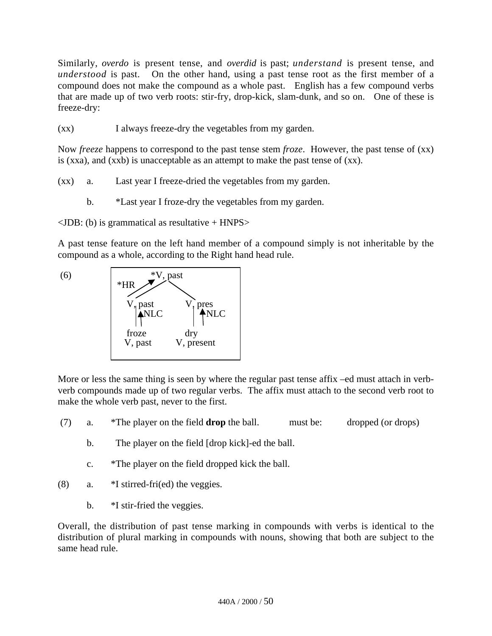Similarly, *overdo* is present tense, and *overdid* is past; *understand* is present tense, and *understood* is past. On the other hand, using a past tense root as the first member of a compound does not make the compound as a whole past. English has a few compound verbs that are made up of two verb roots: stir-fry, drop-kick, slam-dunk, and so on. One of these is freeze-dry:

(xx) I always freeze-dry the vegetables from my garden.

Now *freeze* happens to correspond to the past tense stem *froze*. However, the past tense of (xx) is (xxa), and (xxb) is unacceptable as an attempt to make the past tense of  $(xx)$ .

- (xx) a. Last year I freeze-dried the vegetables from my garden.
	- b. \*Last year I froze-dry the vegetables from my garden.

 $\langle$ JDB: (b) is grammatical as resultative + HNPS $>$ 

A past tense feature on the left hand member of a compound simply is not inheritable by the compound as a whole, according to the Right hand head rule.



More or less the same thing is seen by where the regular past tense affix –ed must attach in verbverb compounds made up of two regular verbs. The affix must attach to the second verb root to make the whole verb past, never to the first.

- (7) a. \*The player on the field **drop** the ball. must be: dropped (or drops)
	- b. The player on the field [drop kick]-ed the ball.
	- c. \*The player on the field dropped kick the ball.
- (8) a. \*I stirred-fri(ed) the veggies.
	- b.  $*$ I stir-fried the veggies.

Overall, the distribution of past tense marking in compounds with verbs is identical to the distribution of plural marking in compounds with nouns, showing that both are subject to the same head rule.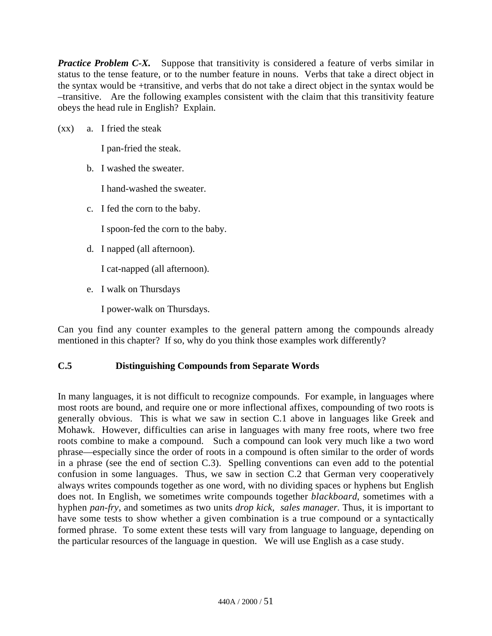**Practice Problem C-X.** Suppose that transitivity is considered a feature of verbs similar in status to the tense feature, or to the number feature in nouns. Verbs that take a direct object in the syntax would be +transitive, and verbs that do not take a direct object in the syntax would be –transitive. Are the following examples consistent with the claim that this transitivity feature obeys the head rule in English? Explain.

(xx) a. I fried the steak

I pan-fried the steak.

b. I washed the sweater.

I hand-washed the sweater.

c. I fed the corn to the baby.

I spoon-fed the corn to the baby.

d. I napped (all afternoon).

I cat-napped (all afternoon).

e. I walk on Thursdays

I power-walk on Thursdays.

Can you find any counter examples to the general pattern among the compounds already mentioned in this chapter? If so, why do you think those examples work differently?

# **C.5 Distinguishing Compounds from Separate Words**

In many languages, it is not difficult to recognize compounds. For example, in languages where most roots are bound, and require one or more inflectional affixes, compounding of two roots is generally obvious. This is what we saw in section C.1 above in languages like Greek and Mohawk. However, difficulties can arise in languages with many free roots, where two free roots combine to make a compound. Such a compound can look very much like a two word phrase—especially since the order of roots in a compound is often similar to the order of words in a phrase (see the end of section C.3). Spelling conventions can even add to the potential confusion in some languages. Thus, we saw in section C.2 that German very cooperatively always writes compounds together as one word, with no dividing spaces or hyphens but English does not. In English, we sometimes write compounds together *blackboard*, sometimes with a hyphen *pan-fry*, and sometimes as two units *drop kick, sales manager*. Thus, it is important to have some tests to show whether a given combination is a true compound or a syntactically formed phrase. To some extent these tests will vary from language to language, depending on the particular resources of the language in question. We will use English as a case study.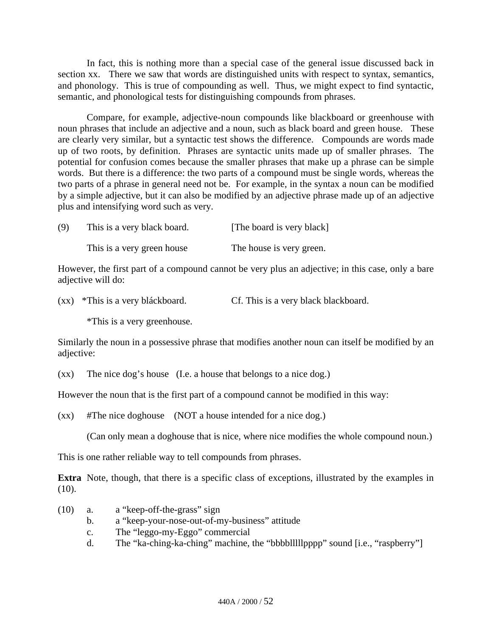In fact, this is nothing more than a special case of the general issue discussed back in section xx. There we saw that words are distinguished units with respect to syntax, semantics, and phonology. This is true of compounding as well. Thus, we might expect to find syntactic, semantic, and phonological tests for distinguishing compounds from phrases.

Compare, for example, adjective-noun compounds like blackboard or greenhouse with noun phrases that include an adjective and a noun, such as black board and green house. These are clearly very similar, but a syntactic test shows the difference. Compounds are words made up of two roots, by definition. Phrases are syntactic units made up of smaller phrases. The potential for confusion comes because the smaller phrases that make up a phrase can be simple words. But there is a difference: the two parts of a compound must be single words, whereas the two parts of a phrase in general need not be. For example, in the syntax a noun can be modified by a simple adjective, but it can also be modified by an adjective phrase made up of an adjective plus and intensifying word such as very.

| (9) | This is a very black board. | [The board is very black] |
|-----|-----------------------------|---------------------------|
|     | This is a very green house  | The house is very green.  |

However, the first part of a compound cannot be very plus an adjective; in this case, only a bare adjective will do:

(xx) \*This is a very bláckboard. Cf. This is a very black blackboard.

\*This is a very greenhouse.

Similarly the noun in a possessive phrase that modifies another noun can itself be modified by an adjective:

(xx) The nice dog's house (I.e. a house that belongs to a nice dog.)

However the noun that is the first part of a compound cannot be modified in this way:

(xx) #The nice doghouse (NOT a house intended for a nice dog.)

(Can only mean a doghouse that is nice, where nice modifies the whole compound noun.)

This is one rather reliable way to tell compounds from phrases.

**Extra** Note, though, that there is a specific class of exceptions, illustrated by the examples in  $(10).$ 

- (10) a. a "keep-off-the-grass" sign
	- b. a "keep-your-nose-out-of-my-business" attitude
	- c. The "leggo-my-Eggo" commercial
	- d. The "ka-ching-ka-ching" machine, the "bbbblllllpppp" sound [i.e., "raspberry"]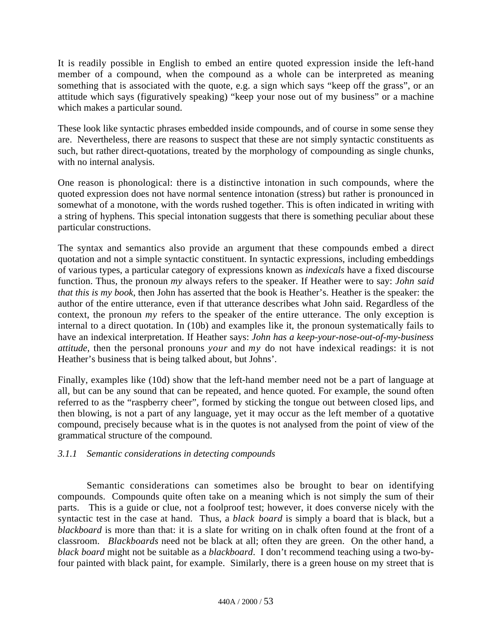It is readily possible in English to embed an entire quoted expression inside the left-hand member of a compound, when the compound as a whole can be interpreted as meaning something that is associated with the quote, e.g. a sign which says "keep off the grass", or an attitude which says (figuratively speaking) "keep your nose out of my business" or a machine which makes a particular sound.

These look like syntactic phrases embedded inside compounds, and of course in some sense they are. Nevertheless, there are reasons to suspect that these are not simply syntactic constituents as such, but rather direct-quotations, treated by the morphology of compounding as single chunks, with no internal analysis.

One reason is phonological: there is a distinctive intonation in such compounds, where the quoted expression does not have normal sentence intonation (stress) but rather is pronounced in somewhat of a monotone, with the words rushed together. This is often indicated in writing with a string of hyphens. This special intonation suggests that there is something peculiar about these particular constructions.

The syntax and semantics also provide an argument that these compounds embed a direct quotation and not a simple syntactic constituent. In syntactic expressions, including embeddings of various types, a particular category of expressions known as *indexicals* have a fixed discourse function. Thus, the pronoun *my* always refers to the speaker. If Heather were to say: *John said that this is my book*, then John has asserted that the book is Heather's. Heather is the speaker: the author of the entire utterance, even if that utterance describes what John said. Regardless of the context, the pronoun *my* refers to the speaker of the entire utterance. The only exception is internal to a direct quotation. In (10b) and examples like it, the pronoun systematically fails to have an indexical interpretation. If Heather says: *John has a keep-your-nose-out-of-my-business attitude*, then the personal pronouns *your* and *my* do not have indexical readings: it is not Heather's business that is being talked about, but Johns'.

Finally, examples like (10d) show that the left-hand member need not be a part of language at all, but can be any sound that can be repeated, and hence quoted. For example, the sound often referred to as the "raspberry cheer", formed by sticking the tongue out between closed lips, and then blowing, is not a part of any language, yet it may occur as the left member of a quotative compound, precisely because what is in the quotes is not analysed from the point of view of the grammatical structure of the compound.

# *3.1.1 Semantic considerations in detecting compounds*

Semantic considerations can sometimes also be brought to bear on identifying compounds. Compounds quite often take on a meaning which is not simply the sum of their parts. This is a guide or clue, not a foolproof test; however, it does converse nicely with the syntactic test in the case at hand. Thus, a *black board* is simply a board that is black, but a *blackboard* is more than that: it is a slate for writing on in chalk often found at the front of a classroom. *Blackboards* need not be black at all; often they are green. On the other hand, a *black board* might not be suitable as a *blackboard*. I don't recommend teaching using a two-byfour painted with black paint, for example. Similarly, there is a green house on my street that is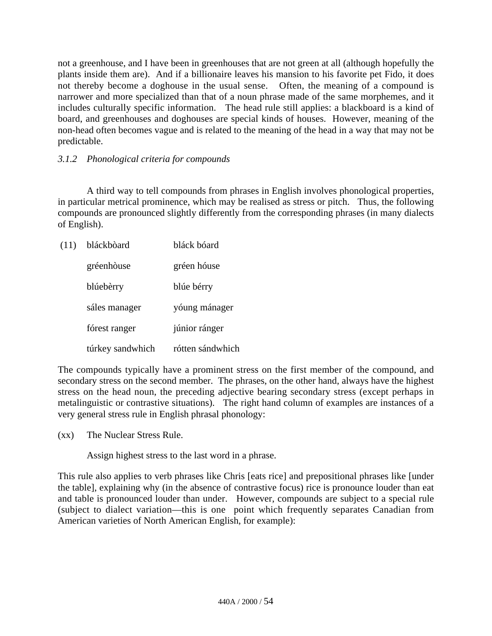not a greenhouse, and I have been in greenhouses that are not green at all (although hopefully the plants inside them are). And if a billionaire leaves his mansion to his favorite pet Fido, it does not thereby become a doghouse in the usual sense. Often, the meaning of a compound is narrower and more specialized than that of a noun phrase made of the same morphemes, and it includes culturally specific information. The head rule still applies: a blackboard is a kind of board, and greenhouses and doghouses are special kinds of houses. However, meaning of the non-head often becomes vague and is related to the meaning of the head in a way that may not be predictable.

### *3.1.2 Phonological criteria for compounds*

A third way to tell compounds from phrases in English involves phonological properties, in particular metrical prominence, which may be realised as stress or pitch. Thus, the following compounds are pronounced slightly differently from the corresponding phrases (in many dialects of English).

| (11) | bláckbòard       | bláck bóard      |
|------|------------------|------------------|
|      | gréenhòuse       | gréen hóuse      |
|      | blúebèrry        | blúe bérry       |
|      | sáles manager    | yóung mánager    |
|      | fórest ranger    | júnior ránger    |
|      | túrkey sandwhich | rótten sándwhich |

The compounds typically have a prominent stress on the first member of the compound, and secondary stress on the second member. The phrases, on the other hand, always have the highest stress on the head noun, the preceding adjective bearing secondary stress (except perhaps in metalinguistic or contrastive situations). The right hand column of examples are instances of a very general stress rule in English phrasal phonology:

(xx) The Nuclear Stress Rule.

Assign highest stress to the last word in a phrase.

This rule also applies to verb phrases like Chris [eats rice] and prepositional phrases like [under the table], explaining why (in the absence of contrastive focus) rice is pronounce louder than eat and table is pronounced louder than under. However, compounds are subject to a special rule (subject to dialect variation—this is one point which frequently separates Canadian from American varieties of North American English, for example):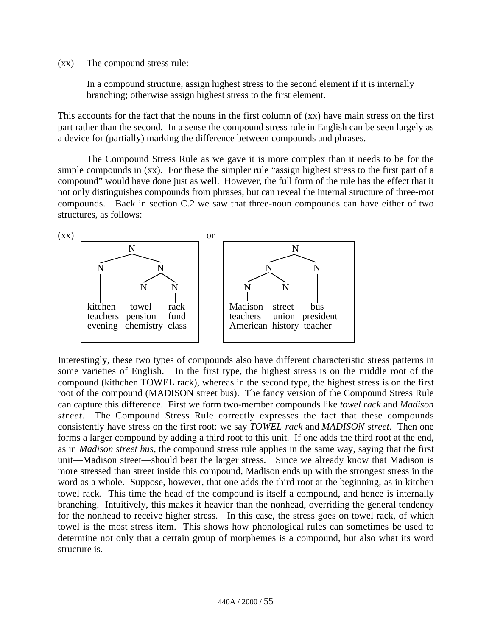#### (xx) The compound stress rule:

In a compound structure, assign highest stress to the second element if it is internally branching; otherwise assign highest stress to the first element.

This accounts for the fact that the nouns in the first column of (xx) have main stress on the first part rather than the second. In a sense the compound stress rule in English can be seen largely as a device for (partially) marking the difference between compounds and phrases.

The Compound Stress Rule as we gave it is more complex than it needs to be for the simple compounds in (xx). For these the simpler rule "assign highest stress to the first part of a compound" would have done just as well. However, the full form of the rule has the effect that it not only distinguishes compounds from phrases, but can reveal the internal structure of three-root compounds. Back in section C.2 we saw that three-noun compounds can have either of two structures, as follows:



Interestingly, these two types of compounds also have different characteristic stress patterns in some varieties of English. In the first type, the highest stress is on the middle root of the compound (kithchen TOWEL rack), whereas in the second type, the highest stress is on the first root of the compound (MADISON street bus). The fancy version of the Compound Stress Rule can capture this difference. First we form two-member compounds like *towel rack* and *Madison street*. The Compound Stress Rule correctly expresses the fact that these compounds consistently have stress on the first root: we say *TOWEL rack* and *MADISON street*. Then one forms a larger compound by adding a third root to this unit. If one adds the third root at the end, as in *Madison street bus*, the compound stress rule applies in the same way, saying that the first unit—Madison street—should bear the larger stress. Since we already know that Madison is more stressed than street inside this compound, Madison ends up with the strongest stress in the word as a whole. Suppose, however, that one adds the third root at the beginning, as in kitchen towel rack. This time the head of the compound is itself a compound, and hence is internally branching. Intuitively, this makes it heavier than the nonhead, overriding the general tendency for the nonhead to receive higher stress. In this case, the stress goes on towel rack, of which towel is the most stress item. This shows how phonological rules can sometimes be used to determine not only that a certain group of morphemes is a compound, but also what its word structure is.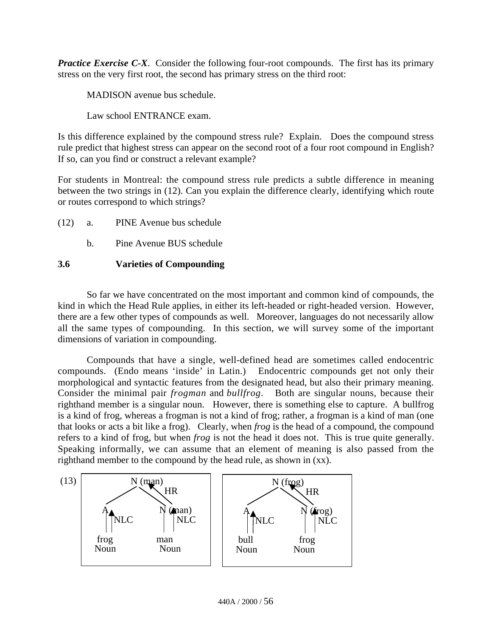**Practice Exercise C-X**. Consider the following four-root compounds. The first has its primary stress on the very first root, the second has primary stress on the third root:

MADISON avenue bus schedule.

Law school ENTRANCE exam.

Is this difference explained by the compound stress rule? Explain. Does the compound stress rule predict that highest stress can appear on the second root of a four root compound in English? If so, can you find or construct a relevant example?

For students in Montreal: the compound stress rule predicts a subtle difference in meaning between the two strings in (12). Can you explain the difference clearly, identifying which route or routes correspond to which strings?

- (12) a. PINE Avenue bus schedule
	- b. Pine Avenue BUS schedule

### **3.6 Varieties of Compounding**

So far we have concentrated on the most important and common kind of compounds, the kind in which the Head Rule applies, in either its left-headed or right-headed version. However, there are a few other types of compounds as well. Moreover, languages do not necessarily allow all the same types of compounding. In this section, we will survey some of the important dimensions of variation in compounding.

Compounds that have a single, well-defined head are sometimes called endocentric compounds. (Endo means 'inside' in Latin.) Endocentric compounds get not only their morphological and syntactic features from the designated head, but also their primary meaning. Consider the minimal pair *frogman* and *bullfrog*. Both are singular nouns, because their righthand member is a singular noun. However, there is something else to capture. A bullfrog is a kind of frog, whereas a frogman is not a kind of frog; rather, a frogman is a kind of man (one that looks or acts a bit like a frog). Clearly, when *frog* is the head of a compound, the compound refers to a kind of frog, but when *frog* is not the head it does not. This is true quite generally. Speaking informally, we can assume that an element of meaning is also passed from the righthand member to the compound by the head rule, as shown in (xx).

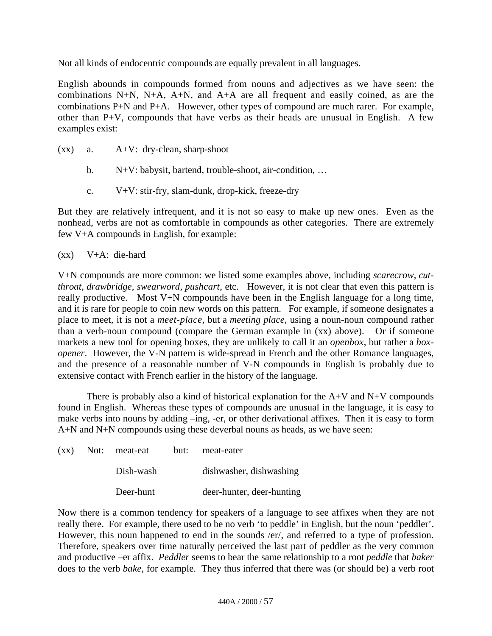Not all kinds of endocentric compounds are equally prevalent in all languages.

English abounds in compounds formed from nouns and adjectives as we have seen: the combinations N+N, N+A, A+N, and A+A are all frequent and easily coined, as are the combinations P+N and P+A. However, other types of compound are much rarer. For example, other than P+V, compounds that have verbs as their heads are unusual in English. A few examples exist:

- (xx) a. A+V: dry-clean, sharp-shoot
	- b. N+V: babysit, bartend, trouble-shoot, air-condition, …
	- c. V+V: stir-fry, slam-dunk, drop-kick, freeze-dry

But they are relatively infrequent, and it is not so easy to make up new ones. Even as the nonhead, verbs are not as comfortable in compounds as other categories. There are extremely few V+A compounds in English, for example:

 $(xx)$  V+A: die-hard

V+N compounds are more common: we listed some examples above, including *scarecrow*, *cutthroat, drawbridge, swearword*, *pushcart*, etc. However, it is not clear that even this pattern is really productive. Most V+N compounds have been in the English language for a long time, and it is rare for people to coin new words on this pattern. For example, if someone designates a place to meet, it is not a *meet-place*, but a *meeting place*, using a noun-noun compound rather than a verb-noun compound (compare the German example in (xx) above). Or if someone markets a new tool for opening boxes, they are unlikely to call it an *openbox*, but rather a *boxopener*. However, the V-N pattern is wide-spread in French and the other Romance languages, and the presence of a reasonable number of V-N compounds in English is probably due to extensive contact with French earlier in the history of the language.

There is probably also a kind of historical explanation for the  $A+V$  and  $N+V$  compounds found in English. Whereas these types of compounds are unusual in the language, it is easy to make verbs into nouns by adding –ing, -er, or other derivational affixes. Then it is easy to form A+N and N+N compounds using these deverbal nouns as heads, as we have seen:

|  | $(xx)$ Not: meat-eat | but: | meat-eater                |
|--|----------------------|------|---------------------------|
|  | Dish-wash            |      | dishwasher, dishwashing   |
|  | Deer-hunt            |      | deer-hunter, deer-hunting |

Now there is a common tendency for speakers of a language to see affixes when they are not really there. For example, there used to be no verb 'to peddle' in English, but the noun 'peddler'. However, this noun happened to end in the sounds /er/, and referred to a type of profession. Therefore, speakers over time naturally perceived the last part of peddler as the very common and productive –er affix. *Peddler* seems to bear the same relationship to a root *peddle* that *baker* does to the verb *bake*, for example. They thus inferred that there was (or should be) a verb root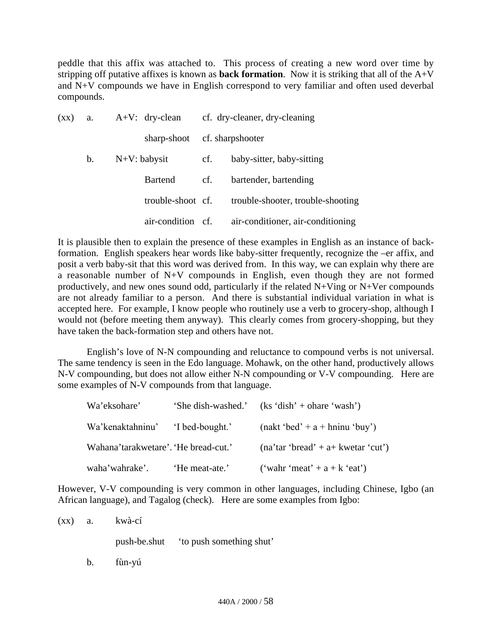peddle that this affix was attached to. This process of creating a new word over time by stripping off putative affixes is known as **back formation**. Now it is striking that all of the  $A+\check{V}$ and N+V compounds we have in English correspond to very familiar and often used deverbal compounds.

| $(\mathbf{X}\mathbf{X})$ | a.            | $A+V$ : dry-clean | cf. dry-cleaner, dry-cleaning |                                   |
|--------------------------|---------------|-------------------|-------------------------------|-----------------------------------|
|                          |               | sharp-shoot       |                               | cf. sharpshooter                  |
|                          | $\mathbf b$ . | $N+V$ : babysit   | cf.                           | baby-sitter, baby-sitting         |
|                          |               | <b>Bartend</b>    | cf.                           | bartender, bartending             |
|                          |               | trouble-shoot cf. |                               | trouble-shooter, trouble-shooting |
|                          |               | air-condition cf. |                               | air-conditioner, air-conditioning |

It is plausible then to explain the presence of these examples in English as an instance of backformation. English speakers hear words like baby-sitter frequently, recognize the –er affix, and posit a verb baby-sit that this word was derived from. In this way, we can explain why there are a reasonable number of N+V compounds in English, even though they are not formed productively, and new ones sound odd, particularly if the related N+Ving or N+Ver compounds are not already familiar to a person. And there is substantial individual variation in what is accepted here. For example, I know people who routinely use a verb to grocery-shop, although I would not (before meeting them anyway). This clearly comes from grocery-shopping, but they have taken the back-formation step and others have not.

English's love of N-N compounding and reluctance to compound verbs is not universal. The same tendency is seen in the Edo language. Mohawk, on the other hand, productively allows N-V compounding, but does not allow either N-N compounding or V-V compounding. Here are some examples of N-V compounds from that language.

| Wa'eksohare'                         | 'She dish-washed.' | $(ks 'dish' + share ' wash')$        |
|--------------------------------------|--------------------|--------------------------------------|
| Wa'kenaktahninu' 'I bed-bought.'     |                    | $(nakt 'bed' + a + hni' (buy'))$     |
| Wahana'tarakwetare'. 'He bread-cut.' |                    | $(na'tar 'break' + a+ kwetar 'cut')$ |
| waha'wahrake'.                       | 'He meat-ate.'     | ('wahr 'meat' + $a + k$ 'eat')       |

However, V-V compounding is very common in other languages, including Chinese, Igbo (an African language), and Tagalog (check). Here are some examples from Igbo:

(xx) a. kwà-cí

push-be.shut 'to push something shut'

b. fùn-yú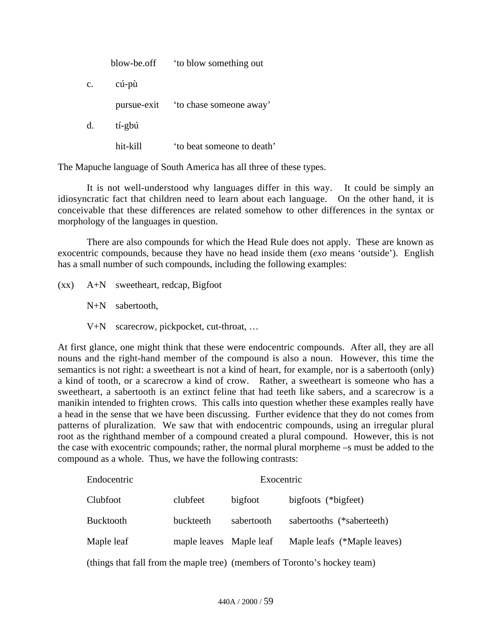|             | blow-be.off | to blow something out              |
|-------------|-------------|------------------------------------|
| $c_{\cdot}$ | cú-pù       |                                    |
|             |             | pursue-exit to chase someone away' |
| d.          | tí-gbú      |                                    |
|             | hit-kill    | to beat someone to death'          |

The Mapuche language of South America has all three of these types.

It is not well-understood why languages differ in this way. It could be simply an idiosyncratic fact that children need to learn about each language. On the other hand, it is conceivable that these differences are related somehow to other differences in the syntax or morphology of the languages in question.

There are also compounds for which the Head Rule does not apply. These are known as exocentric compounds, because they have no head inside them (*exo* means 'outside'). English has a small number of such compounds, including the following examples:

(xx) A+N sweetheart, redcap, Bigfoot

N+N sabertooth,

V+N scarecrow, pickpocket, cut-throat, …

At first glance, one might think that these were endocentric compounds. After all, they are all nouns and the right-hand member of the compound is also a noun. However, this time the semantics is not right: a sweetheart is not a kind of heart, for example, nor is a sabertooth (only) a kind of tooth, or a scarecrow a kind of crow. Rather, a sweetheart is someone who has a sweetheart, a sabertooth is an extinct feline that had teeth like sabers, and a scarecrow is a manikin intended to frighten crows. This calls into question whether these examples really have a head in the sense that we have been discussing. Further evidence that they do not comes from patterns of pluralization. We saw that with endocentric compounds, using an irregular plural root as the righthand member of a compound created a plural compound. However, this is not the case with exocentric compounds; rather, the normal plural morpheme –s must be added to the compound as a whole. Thus, we have the following contrasts:

| Endocentric      |                         | Exocentric |                             |
|------------------|-------------------------|------------|-----------------------------|
| Clubfoot         | clubfeet                | bigfoot    | bigfoots (*bigfeet)         |
| <b>Bucktooth</b> | buckteeth               | sabertooth | sabertooths (*saberteeth)   |
| Maple leaf       | maple leaves Maple leaf |            | Maple leafs (*Maple leaves) |
|                  |                         |            |                             |

(things that fall from the maple tree) (members of Toronto's hockey team)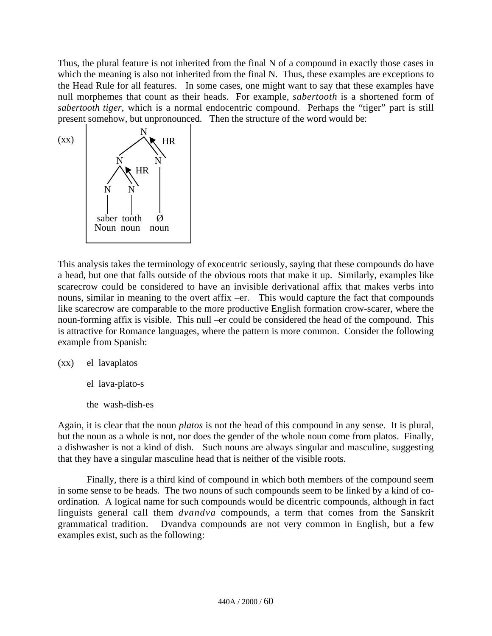Thus, the plural feature is not inherited from the final N of a compound in exactly those cases in which the meaning is also not inherited from the final N. Thus, these examples are exceptions to the Head Rule for all features. In some cases, one might want to say that these examples have null morphemes that count as their heads. For example, *sabertooth* is a shortened form of *sabertooth tiger*, which is a normal endocentric compound. Perhaps the "tiger" part is still present somehow, but unpronounced. Then the structure of the word would be:



This analysis takes the terminology of exocentric seriously, saying that these compounds do have a head, but one that falls outside of the obvious roots that make it up. Similarly, examples like scarecrow could be considered to have an invisible derivational affix that makes verbs into nouns, similar in meaning to the overt affix –er. This would capture the fact that compounds like scarecrow are comparable to the more productive English formation crow-scarer, where the noun-forming affix is visible. This null –er could be considered the head of the compound. This is attractive for Romance languages, where the pattern is more common. Consider the following example from Spanish:

(xx) el lavaplatos

el lava-plato-s

the wash-dish-es

Again, it is clear that the noun *platos* is not the head of this compound in any sense. It is plural, but the noun as a whole is not, nor does the gender of the whole noun come from platos. Finally, a dishwasher is not a kind of dish. Such nouns are always singular and masculine, suggesting that they have a singular masculine head that is neither of the visible roots.

Finally, there is a third kind of compound in which both members of the compound seem in some sense to be heads. The two nouns of such compounds seem to be linked by a kind of coordination. A logical name for such compounds would be dicentric compounds, although in fact linguists general call them *dvandva* compounds, a term that comes from the Sanskrit grammatical tradition. Dvandva compounds are not very common in English, but a few examples exist, such as the following: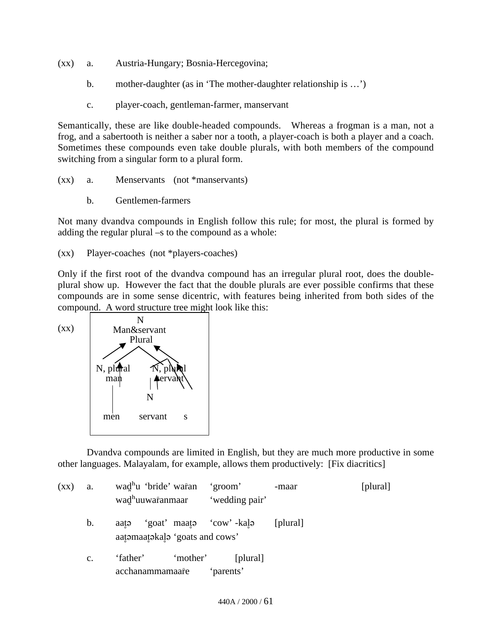- (xx) a. Austria-Hungary; Bosnia-Hercegovina;
	- b. mother-daughter (as in 'The mother-daughter relationship is …')
	- c. player-coach, gentleman-farmer, manservant

Semantically, these are like double-headed compounds. Whereas a frogman is a man, not a frog, and a sabertooth is neither a saber nor a tooth, a player-coach is both a player and a coach. Sometimes these compounds even take double plurals, with both members of the compound switching from a singular form to a plural form.

- (xx) a. Menservants (not \*manservants)
	- b. Gentlemen-farmers

Not many dvandva compounds in English follow this rule; for most, the plural is formed by adding the regular plural –s to the compound as a whole:

(xx) Player-coaches (not \*players-coaches)

Only if the first root of the dvandva compound has an irregular plural root, does the doubleplural show up. However the fact that the double plurals are ever possible confirms that these compounds are in some sense dicentric, with features being inherited from both sides of the compound. A word structure tree might look like this:



Dvandva compounds are limited in English, but they are much more productive in some other languages. Malayalam, for example, allows them productively: [Fix diacritics]

| $\left( xx\right)$ | a.            | wad <sup>h</sup> u 'bride' waran<br>wad <sup>h</sup> uuwar̄anmaar | 'groom'<br>'wedding pair' | -maar    | [plural] |
|--------------------|---------------|-------------------------------------------------------------------|---------------------------|----------|----------|
|                    | $\mathbf b$ . | 'goat' maata 'cow' kala<br>aatə<br>aatomaatokalo 'goats and cows' |                           | [plural] |          |
|                    | c.            | 'mother'<br>'father'<br>acchanammamaare                           | [plural]<br>'parents'     |          |          |